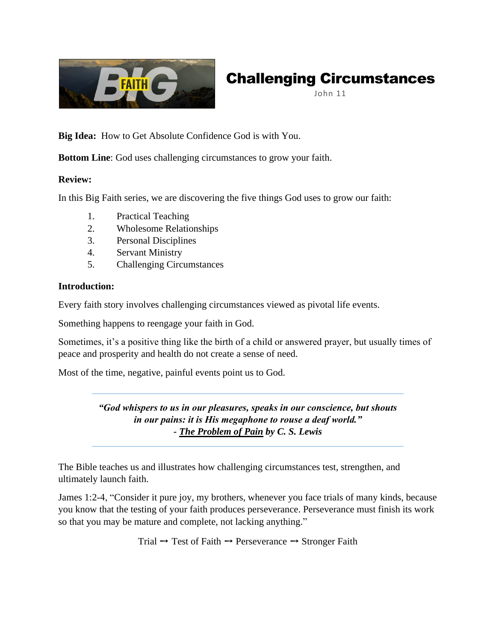

# Challenging Circumstances

John 11

**Big Idea:** How to Get Absolute Confidence God is with You.

**Bottom Line**: God uses challenging circumstances to grow your faith.

# **Review:**

In this Big Faith series, we are discovering the five things God uses to grow our faith:

- 1. Practical Teaching
- 2. Wholesome Relationships
- 3. Personal Disciplines
- 4. Servant Ministry
- 5. Challenging Circumstances

### **Introduction:**

Every faith story involves challenging circumstances viewed as pivotal life events.

Something happens to reengage your faith in God.

Sometimes, it's a positive thing like the birth of a child or answered prayer, but usually times of peace and prosperity and health do not create a sense of need.

Most of the time, negative, painful events point us to God.

*"God whispers to us in our pleasures, speaks in our conscience, but shouts in our pains: it is His megaphone to rouse a deaf world." - The Problem of Pain by C. S. Lewis*

The Bible teaches us and illustrates how challenging circumstances test, strengthen, and ultimately launch faith.

James 1:2-4, "Consider it pure joy, my brothers, whenever you face trials of many kinds, because you know that the testing of your faith produces perseverance. Perseverance must finish its work so that you may be mature and complete, not lacking anything."

Trial  $\rightarrow$  Test of Faith  $\rightarrow$  Perseverance  $\rightarrow$  Stronger Faith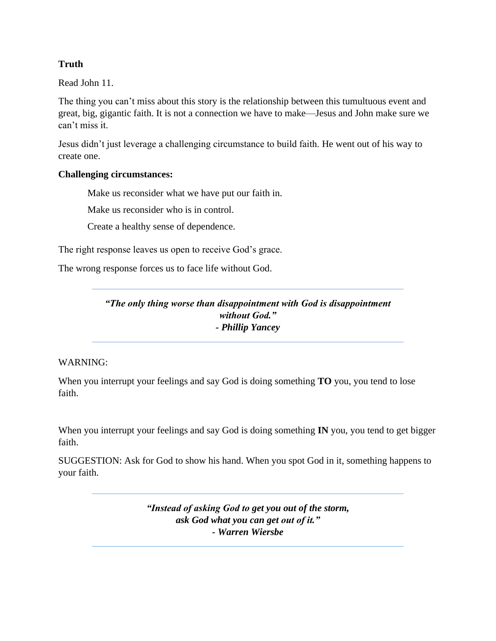# **Truth**

Read John 11.

The thing you can't miss about this story is the relationship between this tumultuous event and great, big, gigantic faith. It is not a connection we have to make—Jesus and John make sure we can't miss it.

Jesus didn't just leverage a challenging circumstance to build faith. He went out of his way to create one.

#### **Challenging circumstances:**

Make us reconsider what we have put our faith in.

Make us reconsider who is in control.

Create a healthy sense of dependence.

The right response leaves us open to receive God's grace.

The wrong response forces us to face life without God.

*"The only thing worse than disappointment with God is disappointment without God." - Phillip Yancey*

#### WARNING:

When you interrupt your feelings and say God is doing something **TO** you, you tend to lose faith.

When you interrupt your feelings and say God is doing something **IN** you, you tend to get bigger faith.

SUGGESTION: Ask for God to show his hand. When you spot God in it, something happens to your faith.

> *"Instead of asking God to get you out of the storm, ask God what you can get out of it." - Warren Wiersbe*